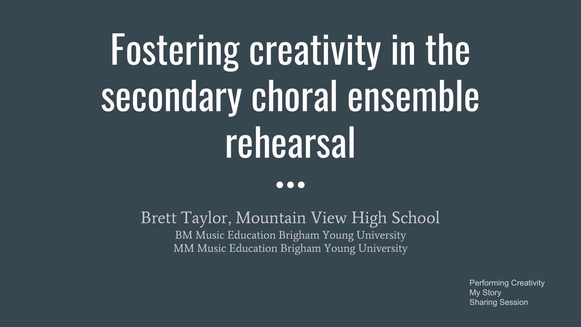# Fostering creativity in the secondary choral ensemble rehearsal

#### $\bullet\bullet\bullet$

Brett Taylor, Mountain View High School BM Music Education Brigham Young University MM Music Education Brigham Young University

> Performing Creativity My Story Sharing Session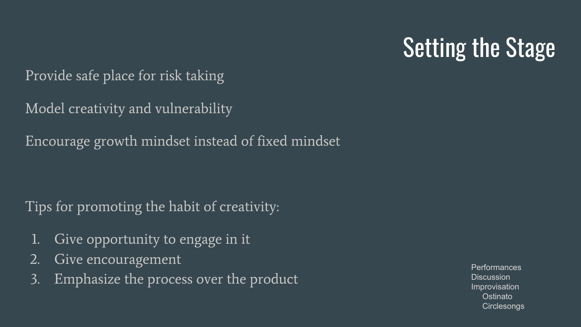## Setting the Stage

Provide safe place for risk taking

Model creativity and vulnerability

Encourage growth mindset instead of fixed mindset

Tips for promoting the habit of creativity:

- 1. Give opportunity to engage in it
- 2. Give encouragement
- 3. Emphasize the process over the product

**Performances Discussion** Improvisation **Ostinato Circlesongs**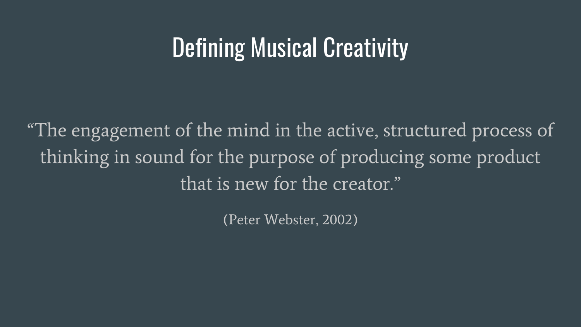#### Defining Musical Creativity

"The engagement of the mind in the active, structured process of thinking in sound for the purpose of producing some product that is new for the creator."

(Peter Webster, 2002)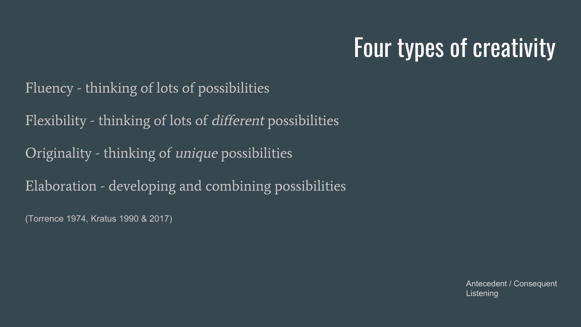#### Four types of creativity

Fluency - thinking of lots of possibilities

Flexibility - thinking of lots of different possibilities

Originality - thinking of unique possibilities

Elaboration - developing and combining possibilities

(Torrence 1974, Kratus 1990 & 2017)

Antecedent / Consequent Listening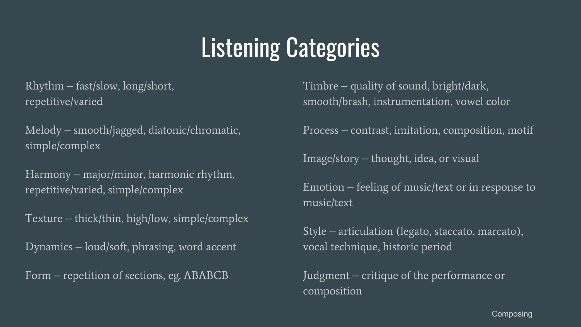### Listening Categories

Rhythm – fast/slow, long/short, repetitive/varied

Melody – smooth/jagged, diatonic/chromatic, simple/complex

Harmony – major/minor, harmonic rhythm, repetitive/varied, simple/complex

Texture – thick/thin, high/low, simple/complex

Dynamics – loud/soft, phrasing, word accent

Form – repetition of sections, eg. ABABCB

Timbre – quality of sound, bright/dark, smooth/brash, instrumentation, vowel color

Process – contrast, imitation, composition, motif

Image/story – thought, idea, or visual

Emotion – feeling of music/text or in response to music/text

Style – articulation (legato, staccato, marcato), vocal technique, historic period

Judgment – critique of the performance or composition

**Composing**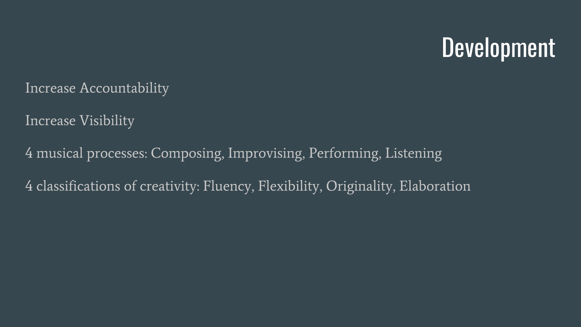#### Development

Increase Accountability

Increase Visibility

4 musical processes: Composing, Improvising, Performing, Listening 4 classifications of creativity: Fluency, Flexibility, Originality, Elaboration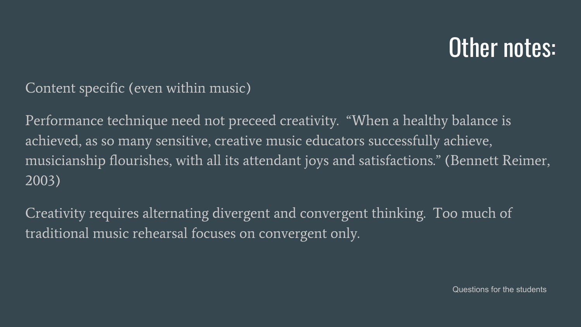#### Other notes:

#### Content specific (even within music)

Performance technique need not preceed creativity. "When a healthy balance is achieved, as so many sensitive, creative music educators successfully achieve, musicianship flourishes, with all its attendant joys and satisfactions." (Bennett Reimer, 2003)

Creativity requires alternating divergent and convergent thinking. Too much of traditional music rehearsal focuses on convergent only.